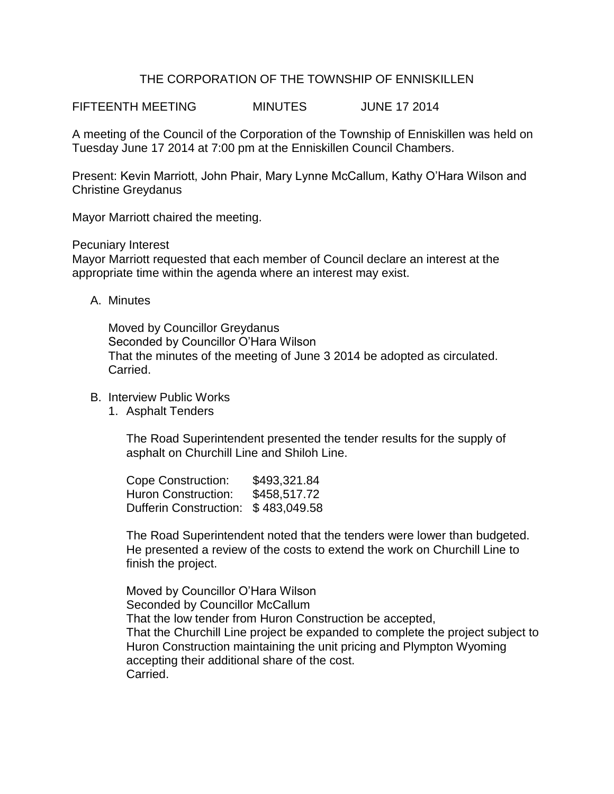## THE CORPORATION OF THE TOWNSHIP OF ENNISKILLEN

FIFTEENTH MEETING MINUTES JUNE 17 2014

A meeting of the Council of the Corporation of the Township of Enniskillen was held on Tuesday June 17 2014 at 7:00 pm at the Enniskillen Council Chambers.

Present: Kevin Marriott, John Phair, Mary Lynne McCallum, Kathy O'Hara Wilson and Christine Greydanus

Mayor Marriott chaired the meeting.

Pecuniary Interest

Mayor Marriott requested that each member of Council declare an interest at the appropriate time within the agenda where an interest may exist.

A. Minutes

Moved by Councillor Greydanus Seconded by Councillor O'Hara Wilson That the minutes of the meeting of June 3 2014 be adopted as circulated. Carried.

- B. Interview Public Works
	- 1. Asphalt Tenders

The Road Superintendent presented the tender results for the supply of asphalt on Churchill Line and Shiloh Line.

Cope Construction: \$493,321.84 Huron Construction: \$458,517,72 Dufferin Construction: \$ 483,049.58

The Road Superintendent noted that the tenders were lower than budgeted. He presented a review of the costs to extend the work on Churchill Line to finish the project.

Moved by Councillor O'Hara Wilson Seconded by Councillor McCallum That the low tender from Huron Construction be accepted, That the Churchill Line project be expanded to complete the project subject to Huron Construction maintaining the unit pricing and Plympton Wyoming accepting their additional share of the cost. Carried.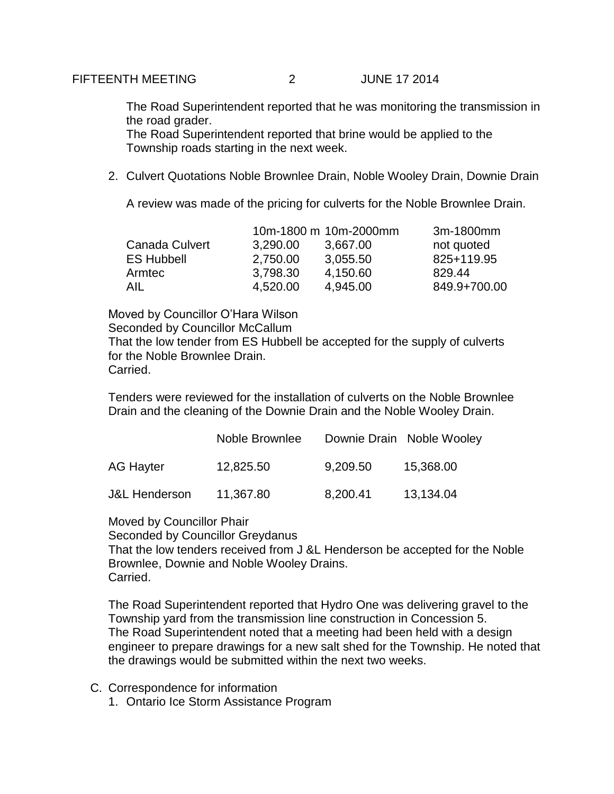The Road Superintendent reported that he was monitoring the transmission in the road grader.

The Road Superintendent reported that brine would be applied to the Township roads starting in the next week.

2. Culvert Quotations Noble Brownlee Drain, Noble Wooley Drain, Downie Drain

A review was made of the pricing for culverts for the Noble Brownlee Drain.

|                   |          | 10m-1800 m 10m-2000mm | 3m-1800mm    |
|-------------------|----------|-----------------------|--------------|
| Canada Culvert    | 3,290.00 | 3,667.00              | not quoted   |
| <b>ES Hubbell</b> | 2,750.00 | 3,055.50              | 825+119.95   |
| Armtec            | 3,798.30 | 4,150.60              | 829.44       |
| AIL               | 4,520.00 | 4,945.00              | 849.9+700.00 |

Moved by Councillor O'Hara Wilson Seconded by Councillor McCallum That the low tender from ES Hubbell be accepted for the supply of culverts for the Noble Brownlee Drain. Carried.

Tenders were reviewed for the installation of culverts on the Noble Brownlee Drain and the cleaning of the Downie Drain and the Noble Wooley Drain.

|                          | Noble Brownlee |          | Downie Drain Noble Wooley |
|--------------------------|----------------|----------|---------------------------|
| AG Hayter                | 12,825.50      | 9,209.50 | 15,368.00                 |
| <b>J&amp;L Henderson</b> | 11,367.80      | 8,200.41 | 13,134.04                 |

Moved by Councillor Phair Seconded by Councillor Greydanus That the low tenders received from J &L Henderson be accepted for the Noble Brownlee, Downie and Noble Wooley Drains. Carried.

The Road Superintendent reported that Hydro One was delivering gravel to the Township yard from the transmission line construction in Concession 5. The Road Superintendent noted that a meeting had been held with a design engineer to prepare drawings for a new salt shed for the Township. He noted that the drawings would be submitted within the next two weeks.

- C. Correspondence for information
	- 1. Ontario Ice Storm Assistance Program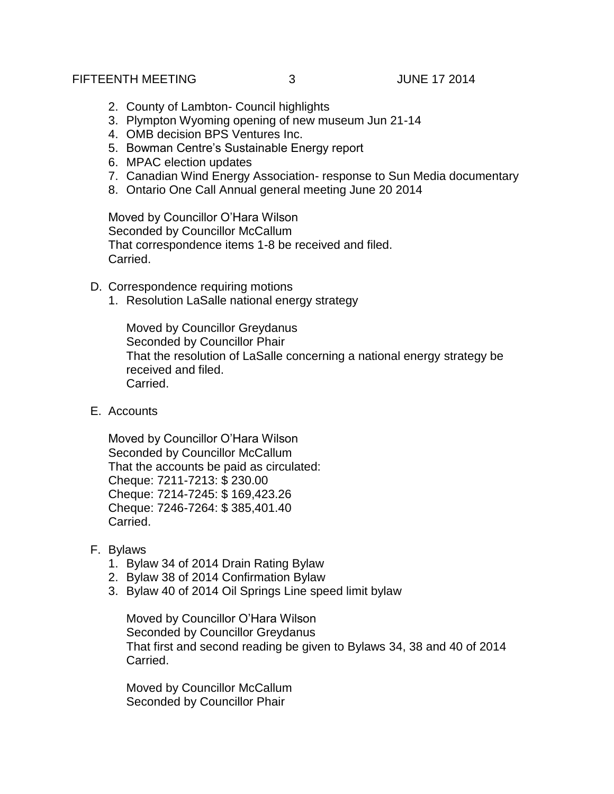## FIFTEENTH MEETING 3 JUNE 17 2014

- 2. County of Lambton- Council highlights
- 3. Plympton Wyoming opening of new museum Jun 21-14
- 4. OMB decision BPS Ventures Inc.
- 5. Bowman Centre's Sustainable Energy report
- 6. MPAC election updates
- 7. Canadian Wind Energy Association- response to Sun Media documentary
- 8. Ontario One Call Annual general meeting June 20 2014

Moved by Councillor O'Hara Wilson Seconded by Councillor McCallum That correspondence items 1-8 be received and filed. Carried.

- D. Correspondence requiring motions
	- 1. Resolution LaSalle national energy strategy

Moved by Councillor Greydanus Seconded by Councillor Phair That the resolution of LaSalle concerning a national energy strategy be received and filed. Carried.

E. Accounts

Moved by Councillor O'Hara Wilson Seconded by Councillor McCallum That the accounts be paid as circulated: Cheque: 7211-7213: \$ 230.00 Cheque: 7214-7245: \$ 169,423.26 Cheque: 7246-7264: \$ 385,401.40 Carried.

- F. Bylaws
	- 1. Bylaw 34 of 2014 Drain Rating Bylaw
	- 2. Bylaw 38 of 2014 Confirmation Bylaw
	- 3. Bylaw 40 of 2014 Oil Springs Line speed limit bylaw

Moved by Councillor O'Hara Wilson Seconded by Councillor Greydanus That first and second reading be given to Bylaws 34, 38 and 40 of 2014 Carried.

Moved by Councillor McCallum Seconded by Councillor Phair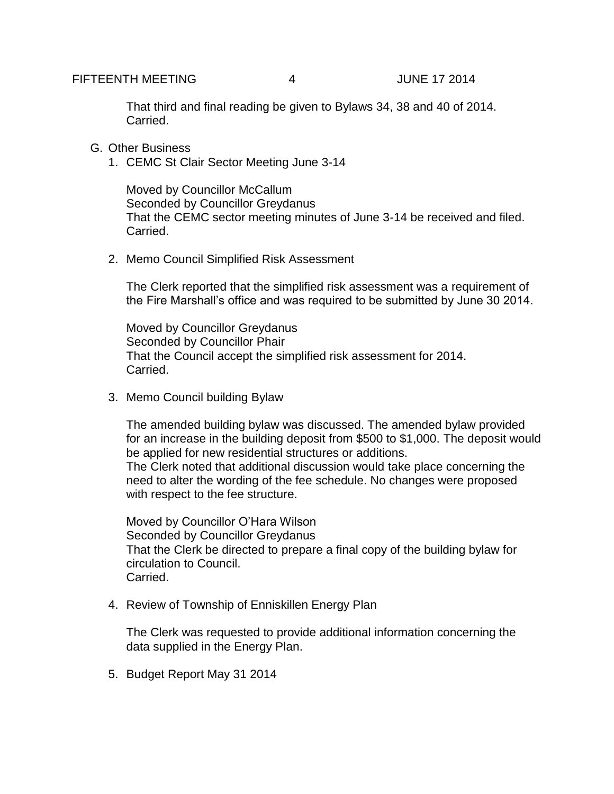That third and final reading be given to Bylaws 34, 38 and 40 of 2014. Carried.

- G. Other Business
	- 1. CEMC St Clair Sector Meeting June 3-14

Moved by Councillor McCallum Seconded by Councillor Greydanus That the CEMC sector meeting minutes of June 3-14 be received and filed. Carried.

2. Memo Council Simplified Risk Assessment

The Clerk reported that the simplified risk assessment was a requirement of the Fire Marshall's office and was required to be submitted by June 30 2014.

Moved by Councillor Greydanus Seconded by Councillor Phair That the Council accept the simplified risk assessment for 2014. Carried.

3. Memo Council building Bylaw

The amended building bylaw was discussed. The amended bylaw provided for an increase in the building deposit from \$500 to \$1,000. The deposit would be applied for new residential structures or additions. The Clerk noted that additional discussion would take place concerning the

need to alter the wording of the fee schedule. No changes were proposed with respect to the fee structure.

Moved by Councillor O'Hara Wilson Seconded by Councillor Greydanus That the Clerk be directed to prepare a final copy of the building bylaw for circulation to Council. Carried.

4. Review of Township of Enniskillen Energy Plan

The Clerk was requested to provide additional information concerning the data supplied in the Energy Plan.

5. Budget Report May 31 2014